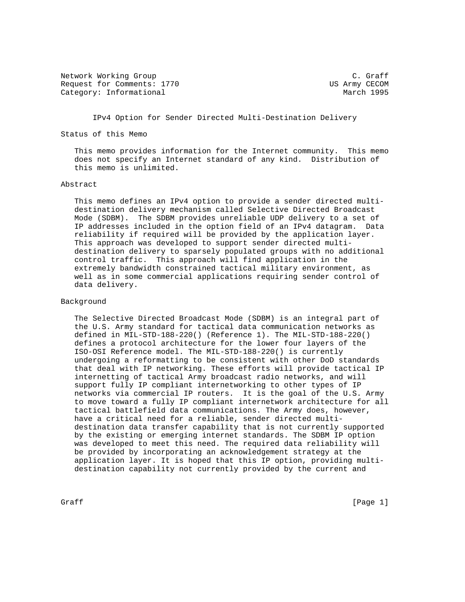Network Working Group C. Graff Request for Comments: 1770 US Army CECOM Category: Informational and March 1995

IPv4 Option for Sender Directed Multi-Destination Delivery

Status of this Memo

 This memo provides information for the Internet community. This memo does not specify an Internet standard of any kind. Distribution of this memo is unlimited.

## Abstract

 This memo defines an IPv4 option to provide a sender directed multi destination delivery mechanism called Selective Directed Broadcast Mode (SDBM). The SDBM provides unreliable UDP delivery to a set of IP addresses included in the option field of an IPv4 datagram. Data reliability if required will be provided by the application layer. This approach was developed to support sender directed multi destination delivery to sparsely populated groups with no additional control traffic. This approach will find application in the extremely bandwidth constrained tactical military environment, as well as in some commercial applications requiring sender control of data delivery.

## Background

 The Selective Directed Broadcast Mode (SDBM) is an integral part of the U.S. Army standard for tactical data communication networks as defined in MIL-STD-188-220() (Reference 1). The MIL-STD-188-220() defines a protocol architecture for the lower four layers of the ISO-OSI Reference model. The MIL-STD-188-220() is currently undergoing a reformatting to be consistent with other DoD standards that deal with IP networking. These efforts will provide tactical IP internetting of tactical Army broadcast radio networks, and will support fully IP compliant internetworking to other types of IP networks via commercial IP routers. It is the goal of the U.S. Army to move toward a fully IP compliant internetwork architecture for all tactical battlefield data communications. The Army does, however, have a critical need for a reliable, sender directed multi destination data transfer capability that is not currently supported by the existing or emerging internet standards. The SDBM IP option was developed to meet this need. The required data reliability will be provided by incorporating an acknowledgement strategy at the application layer. It is hoped that this IP option, providing multi destination capability not currently provided by the current and

 $G \cdot \text{C}$   $G \cdot \text{C}$   $G \cdot \text{C}$   $G \cdot \text{C}$   $G \cdot \text{C}$   $G \cdot \text{C}$   $G \cdot \text{C}$   $G \cdot \text{C}$   $G \cdot \text{C}$   $G \cdot \text{C}$   $G \cdot \text{C}$   $G \cdot \text{C}$   $G \cdot \text{C}$   $G \cdot \text{C}$   $G \cdot \text{C}$   $G \cdot \text{C}$   $G \cdot \text{C}$   $G \cdot \text{C}$   $G \cdot \text{C}$   $G \cdot \text{C}$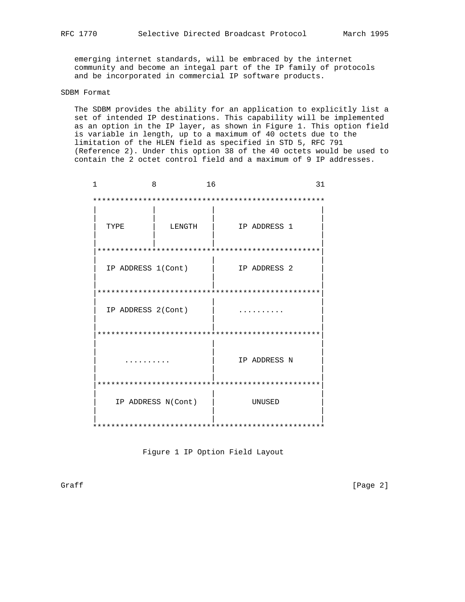emerging internet standards, will be embraced by the internet community and become an integal part of the IP family of protocols and be incorporated in commercial IP software products.

## SDBM Format

 The SDBM provides the ability for an application to explicitly list a set of intended IP destinations. This capability will be implemented as an option in the IP layer, as shown in Figure 1. This option field is variable in length, up to a maximum of 40 octets due to the limitation of the HLEN field as specified in STD 5, RFC 791 (Reference 2). Under this option 38 of the 40 octets would be used to contain the 2 octet control field and a maximum of 9 IP addresses.

| 1<br>8             |                    | 16 |              | 31 |
|--------------------|--------------------|----|--------------|----|
|                    |                    |    |              |    |
| TYPE               | LENGTH             |    | IP ADDRESS 1 |    |
|                    |                    |    |              |    |
| IP ADDRESS 1(Cont) |                    |    | IP ADDRESS 2 |    |
|                    |                    |    |              |    |
| IP ADDRESS 2(Cont) |                    |    |              |    |
|                    |                    |    |              |    |
|                    |                    |    | IP ADDRESS N |    |
|                    |                    |    |              |    |
|                    | IP ADDRESS N(Cont) |    | UNUSED       |    |
|                    |                    |    |              |    |

Figure 1 IP Option Field Layout

Graff [Page 2]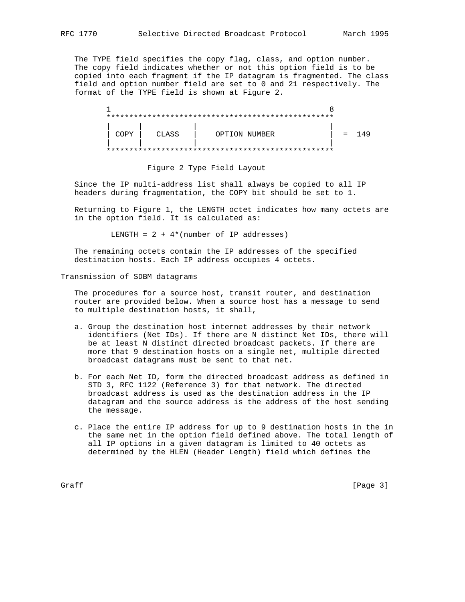The TYPE field specifies the copy flag, class, and option number. The copy field indicates whether or not this option field is to be copied into each fragment if the IP datagram is fragmented. The class field and option number field are set to 0 and 21 respectively. The format of the TYPE field is shown at Figure 2.

| COPY | CLASS | OPTION NUMBER | $=$ | .49 |
|------|-------|---------------|-----|-----|
|      |       |               |     |     |

Figure 2 Type Field Layout

 Since the IP multi-address list shall always be copied to all IP headers during fragmentation, the COPY bit should be set to 1.

 Returning to Figure 1, the LENGTH octet indicates how many octets are in the option field. It is calculated as:

LENGTH =  $2 + 4*(number of IP addresses)$ 

 The remaining octets contain the IP addresses of the specified destination hosts. Each IP address occupies 4 octets.

Transmission of SDBM datagrams

 The procedures for a source host, transit router, and destination router are provided below. When a source host has a message to send to multiple destination hosts, it shall,

- a. Group the destination host internet addresses by their network identifiers (Net IDs). If there are N distinct Net IDs, there will be at least N distinct directed broadcast packets. If there are more that 9 destination hosts on a single net, multiple directed broadcast datagrams must be sent to that net.
- b. For each Net ID, form the directed broadcast address as defined in STD 3, RFC 1122 (Reference 3) for that network. The directed broadcast address is used as the destination address in the IP datagram and the source address is the address of the host sending the message.
- c. Place the entire IP address for up to 9 destination hosts in the in the same net in the option field defined above. The total length of all IP options in a given datagram is limited to 40 octets as determined by the HLEN (Header Length) field which defines the

 $G \cdot \text{C}$   $G \cdot \text{C}$   $G \cdot \text{C}$   $G \cdot \text{C}$   $G \cdot \text{C}$   $G \cdot \text{C}$   $G \cdot \text{C}$   $G \cdot \text{C}$   $G \cdot \text{C}$   $G \cdot \text{C}$   $G \cdot \text{C}$   $G \cdot \text{C}$   $G \cdot \text{C}$   $G \cdot \text{C}$   $G \cdot \text{C}$   $G \cdot \text{C}$   $G \cdot \text{C}$   $G \cdot \text{C}$   $G \cdot \text{C}$   $G \cdot \text{C}$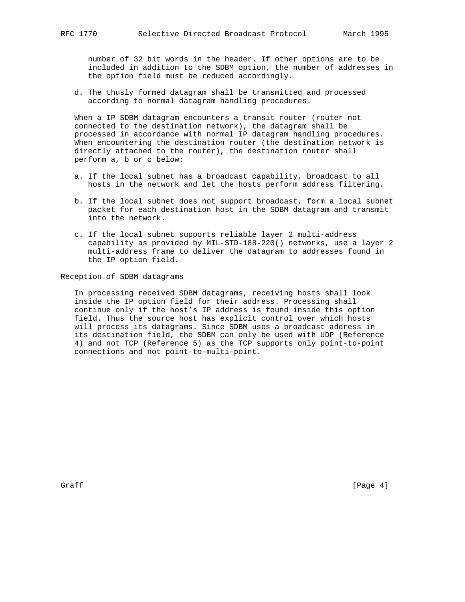number of 32 bit words in the header. If other options are to be included in addition to the SDBM option, the number of addresses in the option field must be reduced accordingly.

 d. The thusly formed datagram shall be transmitted and processed according to normal datagram handling procedures.

 When a IP SDBM datagram encounters a transit router (router not connected to the destination network), the datagram shall be processed in accordance with normal IP datagram handling procedures. When encountering the destination router (the destination network is directly attached to the router), the destination router shall perform a, b or c below:

- a. If the local subnet has a broadcast capability, broadcast to all hosts in the network and let the hosts perform address filtering.
- b. If the local subnet does not support broadcast, form a local subnet packet for each destination host in the SDBM datagram and transmit into the network.
- c. If the local subnet supports reliable layer 2 multi-address capability as provided by MIL-STD-188-220() networks, use a layer 2 multi-address frame to deliver the datagram to addresses found in the IP option field.

Reception of SDBM datagrams

 In processing received SDBM datagrams, receiving hosts shall look inside the IP option field for their address. Processing shall continue only if the host's IP address is found inside this option field. Thus the source host has explicit control over which hosts will process its datagrams. Since SDBM uses a broadcast address in its destination field, the SDBM can only be used with UDP (Reference 4) and not TCP (Reference 5) as the TCP supports only point-to-point connections and not point-to-multi-point.

Graff [Page 4]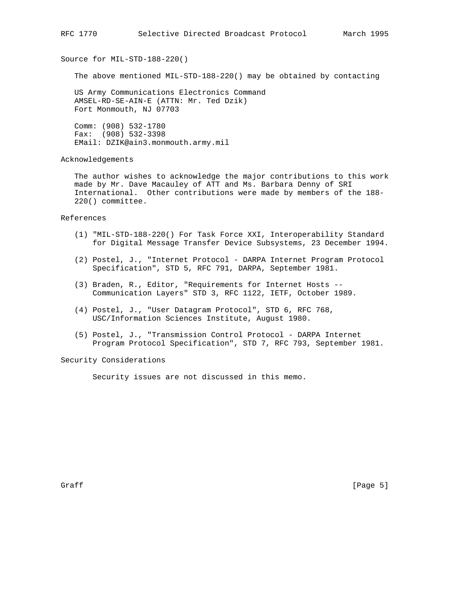Source for MIL-STD-188-220()

The above mentioned MIL-STD-188-220() may be obtained by contacting

 US Army Communications Electronics Command AMSEL-RD-SE-AIN-E (ATTN: Mr. Ted Dzik) Fort Monmouth, NJ 07703

 Comm: (908) 532-1780 Fax: (908) 532-3398 EMail: DZIK@ain3.monmouth.army.mil

Acknowledgements

 The author wishes to acknowledge the major contributions to this work made by Mr. Dave Macauley of ATT and Ms. Barbara Denny of SRI International. Other contributions were made by members of the 188- 220() committee.

References

- (1) "MIL-STD-188-220() For Task Force XXI, Interoperability Standard for Digital Message Transfer Device Subsystems, 23 December 1994.
- (2) Postel, J., "Internet Protocol DARPA Internet Program Protocol Specification", STD 5, RFC 791, DARPA, September 1981.
- (3) Braden, R., Editor, "Requirements for Internet Hosts -- Communication Layers" STD 3, RFC 1122, IETF, October 1989.
- (4) Postel, J., "User Datagram Protocol", STD 6, RFC 768, USC/Information Sciences Institute, August 1980.
- (5) Postel, J., "Transmission Control Protocol DARPA Internet Program Protocol Specification", STD 7, RFC 793, September 1981.

Security Considerations

Security issues are not discussed in this memo.

Graff [Page 5]